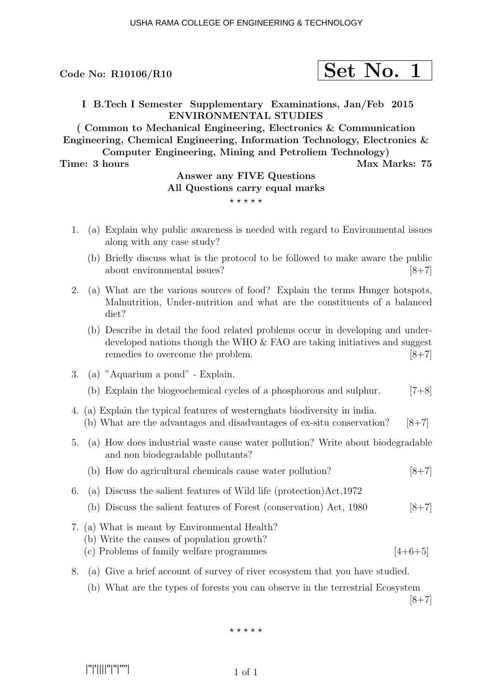Code No:  $R10106/R10$ 

$$
\fbox{Set No. 1}
$$

I B.Tech I Semester Supplementary Examinations, Jan/Feb 2015 ENVIRONMENTAL STUDIES

( Common to Mechanical Engineering, Electronics & Communication Engineering, Chemical Engineering, Information Technology, Electronics & Computer Engineering, Mining and Petroliem Technology)

Time: 3 hours Max Marks: 75

### Answer any FIVE Questions All Questions carry equal marks  $***$ \*\*

- 1. (a) Explain why public awareness is needed with regard to Environmental issues along with any case study?
	- (b) Briefly discuss what is the protocol to be followed to make aware the public about environmental issues?  $[8+7]$
- 2. (a) What are the various sources of food? Explain the terms Hunger hotspots, Malnutrition, Under-nutrition and what are the constituents of a balanced diet?
	- (b) Describe in detail the food related problems occur in developing and underdeveloped nations though the WHO & FAO are taking initiatives and suggest remedies to overcome the problem. [8+7]
- 3. (a) "Aquarium a pond" Explain.
	- (b) Explain the biogeochemical cycles of a phosphorous and sulphur.  $[7+8]$
- 4. (a) Explain the typical features of westernghats biodiversity in india. (b) What are the advantages and disadvantages of ex-situ conservation?  $[8+7]$
- 5. (a) How does industrial waste cause water pollution? Write about biodegradable and non biodegradable pollutants?
	- (b) How do agricultural chemicals cause water pollution? [8+7]
- 6. (a) Discuss the salient features of Wild life (protection)Act,1972
	- (b) Discuss the salient features of Forest (conservation) Act,  $1980$  [8+7]
- 7. (a) What is meant by Environmental Health?
	- (b) Write the causes of population growth?
	- (c) Problems of family welfare programmes  $[4+6+5]$
- 8. (a) Give a brief account of survey of river ecosystem that you have studied.
	- (b) What are the types of forests you can observe in the terrestrial Ecosystem

 $[8+7]$ 

#### $\star\star\star\star\star$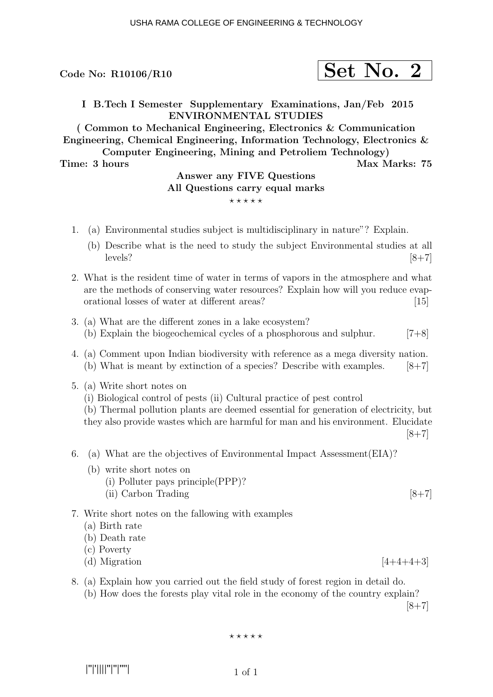Code No:  $R10106/R10$ 

$$
\fbox{Set No. 2}
$$

I B.Tech I Semester Supplementary Examinations, Jan/Feb 2015 ENVIRONMENTAL STUDIES

( Common to Mechanical Engineering, Electronics & Communication Engineering, Chemical Engineering, Information Technology, Electronics & Computer Engineering, Mining and Petroliem Technology)

#### Time: 3 hours Max Marks: 75

# Answer any FIVE Questions All Questions carry equal marks

#### $***$ \*\*

- 1. (a) Environmental studies subject is multidisciplinary in nature"? Explain.
	- (b) Describe what is the need to study the subject Environmental studies at all levels?  $[8+7]$
- 2. What is the resident time of water in terms of vapors in the atmosphere and what are the methods of conserving water resources? Explain how will you reduce evaporational losses of water at different areas? [15]
- 3. (a) What are the different zones in a lake ecosystem? (b) Explain the biogeochemical cycles of a phosphorous and sulphur.  $[7+8]$
- 4. (a) Comment upon Indian biodiversity with reference as a mega diversity nation. (b) What is meant by extinction of a species? Describe with examples.  $[8+7]$
- 5. (a) Write short notes on
	- (i) Biological control of pests (ii) Cultural practice of pest control

(b) Thermal pollution plants are deemed essential for generation of electricity, but they also provide wastes which are harmful for man and his environment. Elucidate  $[8+7]$ 

- 6. (a) What are the objectives of Environmental Impact Assessment(EIA)?
	- (b) write short notes on
		- (i) Polluter pays principle(PPP)?
		- (ii) Carbon Trading  $[8+7]$

#### 7. Write short notes on the fallowing with examples

- (a) Birth rate
- (b) Death rate
- (c) Poverty
- (d) Migration  $[4+4+4+3]$
- 8. (a) Explain how you carried out the field study of forest region in detail do. (b) How does the forests play vital role in the economy of the country explain?  $[8+7]$

$$
\star\star\star\star\star
$$

|''|'||||''|''|''''|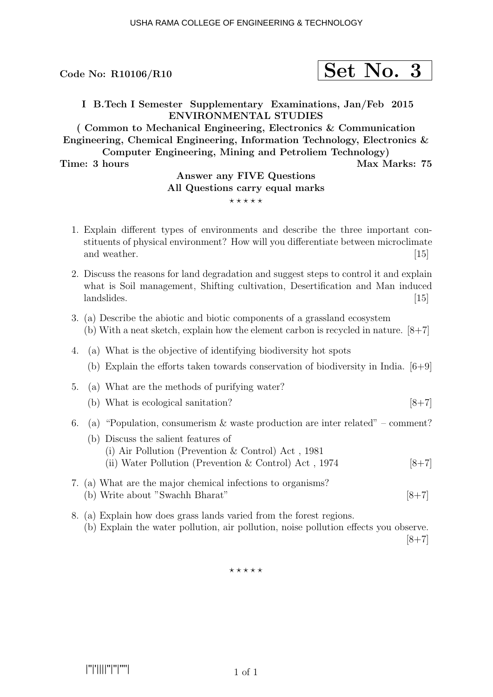

I B.Tech I Semester Supplementary Examinations, Jan/Feb 2015 ENVIRONMENTAL STUDIES

( Common to Mechanical Engineering, Electronics & Communication Engineering, Chemical Engineering, Information Technology, Electronics & Computer Engineering, Mining and Petroliem Technology)

Time: 3 hours Max Marks: 75

## Answer any FIVE Questions All Questions carry equal marks

#### $***$ \*\*

- 1. Explain different types of environments and describe the three important constituents of physical environment? How will you differentiate between microclimate and weather. [15]
- 2. Discuss the reasons for land degradation and suggest steps to control it and explain what is Soil management, Shifting cultivation, Desertification and Man induced landslides. [15]
- 3. (a) Describe the abiotic and biotic components of a grassland ecosystem (b) With a neat sketch, explain how the element carbon is recycled in nature.  $[8+7]$
- 4. (a) What is the objective of identifying biodiversity hot spots
	- (b) Explain the efforts taken towards conservation of biodiversity in India. [6+9]
- 5. (a) What are the methods of purifying water?
	- (b) What is ecological sanitation?  $[8+7]$
- 6. (a) "Population, consumerism & waste production are inter related" comment?
	- (b) Discuss the salient features of (i) Air Pollution (Prevention & Control) Act , 1981 (ii) Water Pollution (Prevention & Control) Act,  $1974$  [8+7]
- 7. (a) What are the major chemical infections to organisms? (b) Write about "Swachh Bharat"  $[8+7]$
- 8. (a) Explain how does grass lands varied from the forest regions. (b) Explain the water pollution, air pollution, noise pollution effects you observe.  $[8+7]$

 $***$ \*\*